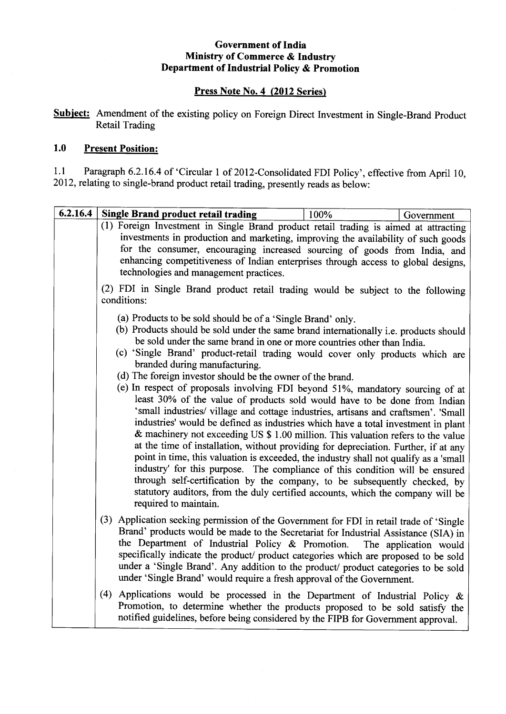### **Government of India Ministry of Commerce & Industry Department of Industrial Policy & Promotion**

### **Press Note No.4 (2012 Series>**

**Subject:** Amendment of the existing policy on Foreign Direct Investment in Single-Brand Product Retail Trading

## **1.0 Present Position:**

1.1 Paragraph 6.2.16.4 of 'Circular 1 of 2012-Consolidated FDI Policy', effective from April 10, 2012, relating to single-brand product retail trading, presently reads as below:

| 6.2.16.4 | Single Brand product retail trading                                                                                                                                                                                                                                                                                                                                                                                                                                                                                                                                                                                                                                                                                                                                                                                                                                                                                                                                                                                                                                                                                                                                                                                                                                                                    | 100% | Government |  |
|----------|--------------------------------------------------------------------------------------------------------------------------------------------------------------------------------------------------------------------------------------------------------------------------------------------------------------------------------------------------------------------------------------------------------------------------------------------------------------------------------------------------------------------------------------------------------------------------------------------------------------------------------------------------------------------------------------------------------------------------------------------------------------------------------------------------------------------------------------------------------------------------------------------------------------------------------------------------------------------------------------------------------------------------------------------------------------------------------------------------------------------------------------------------------------------------------------------------------------------------------------------------------------------------------------------------------|------|------------|--|
|          | (1) Foreign Investment in Single Brand product retail trading is aimed at attracting<br>investments in production and marketing, improving the availability of such goods<br>for the consumer, encouraging increased sourcing of goods from India, and<br>enhancing competitiveness of Indian enterprises through access to global designs,<br>technologies and management practices.<br>(2) FDI in Single Brand product retail trading would be subject to the following<br>conditions:                                                                                                                                                                                                                                                                                                                                                                                                                                                                                                                                                                                                                                                                                                                                                                                                               |      |            |  |
|          |                                                                                                                                                                                                                                                                                                                                                                                                                                                                                                                                                                                                                                                                                                                                                                                                                                                                                                                                                                                                                                                                                                                                                                                                                                                                                                        |      |            |  |
|          | (a) Products to be sold should be of a 'Single Brand' only.<br>(b) Products should be sold under the same brand internationally i.e. products should<br>be sold under the same brand in one or more countries other than India.<br>(c) 'Single Brand' product-retail trading would cover only products which are<br>branded during manufacturing.<br>(d) The foreign investor should be the owner of the brand.<br>(e) In respect of proposals involving FDI beyond 51%, mandatory sourcing of at<br>least 30% of the value of products sold would have to be done from Indian<br>'small industries/ village and cottage industries, artisans and craftsmen'. 'Small<br>industries' would be defined as industries which have a total investment in plant<br>& machinery not exceeding US \$ 1.00 million. This valuation refers to the value<br>at the time of installation, without providing for depreciation. Further, if at any<br>point in time, this valuation is exceeded, the industry shall not qualify as a 'small<br>industry' for this purpose. The compliance of this condition will be ensured<br>through self-certification by the company, to be subsequently checked, by<br>statutory auditors, from the duly certified accounts, which the company will be<br>required to maintain. |      |            |  |
|          | (3) Application seeking permission of the Government for FDI in retail trade of 'Single<br>Brand' products would be made to the Secretariat for Industrial Assistance (SIA) in<br>the Department of Industrial Policy & Promotion. The application would<br>specifically indicate the product/ product categories which are proposed to be sold<br>under a 'Single Brand'. Any addition to the product/ product categories to be sold<br>under 'Single Brand' would require a fresh approval of the Government.                                                                                                                                                                                                                                                                                                                                                                                                                                                                                                                                                                                                                                                                                                                                                                                        |      |            |  |
|          | (4) Applications would be processed in the Department of Industrial Policy $\&$<br>Promotion, to determine whether the products proposed to be sold satisfy the<br>notified guidelines, before being considered by the FIPB for Government approval.                                                                                                                                                                                                                                                                                                                                                                                                                                                                                                                                                                                                                                                                                                                                                                                                                                                                                                                                                                                                                                                   |      |            |  |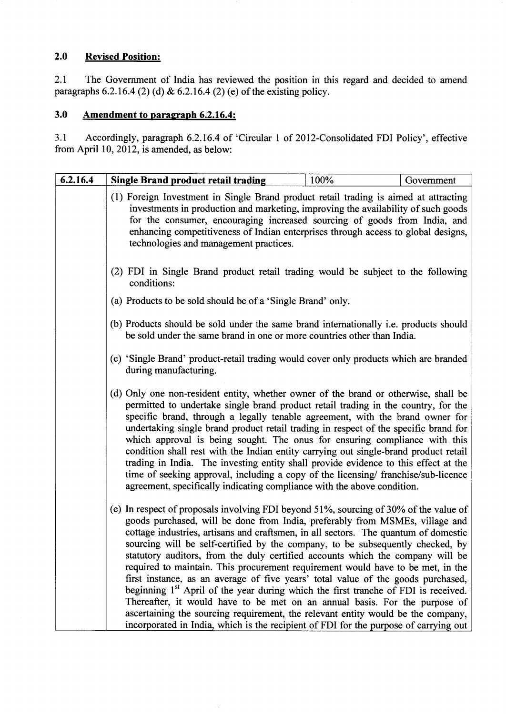## **2.0 Revised Position:**

2.1 The Government of India has reviewed the position in this regard and decided to amend paragraphs 6.2.16.4 (2) (d) & 6.2.16.4 (2) (e) of the existing policy.

# **3.0 Amendment to paragraph 6.2.16.4:**

3.1 Accordingly, paragraph 6.2.16.4 of 'Circular 1 of 2012-Conso1idated FDI Policy', effective from April 10, 2012, is amended, as below:

| 6.2.16.4 | <b>Single Brand product retail trading</b>                                                                                                                                                                                                                                                                                                                                                                                                                                                                                                                                                                                                                                                                                                                                                                                                                                  | 100% | Government |  |  |
|----------|-----------------------------------------------------------------------------------------------------------------------------------------------------------------------------------------------------------------------------------------------------------------------------------------------------------------------------------------------------------------------------------------------------------------------------------------------------------------------------------------------------------------------------------------------------------------------------------------------------------------------------------------------------------------------------------------------------------------------------------------------------------------------------------------------------------------------------------------------------------------------------|------|------------|--|--|
|          | (1) Foreign Investment in Single Brand product retail trading is aimed at attracting<br>investments in production and marketing, improving the availability of such goods<br>for the consumer, encouraging increased sourcing of goods from India, and<br>enhancing competitiveness of Indian enterprises through access to global designs,<br>technologies and management practices.                                                                                                                                                                                                                                                                                                                                                                                                                                                                                       |      |            |  |  |
|          | (2) FDI in Single Brand product retail trading would be subject to the following<br>conditions:                                                                                                                                                                                                                                                                                                                                                                                                                                                                                                                                                                                                                                                                                                                                                                             |      |            |  |  |
|          | (a) Products to be sold should be of a 'Single Brand' only.                                                                                                                                                                                                                                                                                                                                                                                                                                                                                                                                                                                                                                                                                                                                                                                                                 |      |            |  |  |
|          | (b) Products should be sold under the same brand internationally <i>i.e.</i> products should<br>be sold under the same brand in one or more countries other than India.<br>(c) 'Single Brand' product-retail trading would cover only products which are branded<br>during manufacturing.                                                                                                                                                                                                                                                                                                                                                                                                                                                                                                                                                                                   |      |            |  |  |
|          |                                                                                                                                                                                                                                                                                                                                                                                                                                                                                                                                                                                                                                                                                                                                                                                                                                                                             |      |            |  |  |
|          | (d) Only one non-resident entity, whether owner of the brand or otherwise, shall be<br>permitted to undertake single brand product retail trading in the country, for the<br>specific brand, through a legally tenable agreement, with the brand owner for<br>undertaking single brand product retail trading in respect of the specific brand for<br>which approval is being sought. The onus for ensuring compliance with this<br>condition shall rest with the Indian entity carrying out single-brand product retail<br>trading in India. The investing entity shall provide evidence to this effect at the<br>time of seeking approval, including a copy of the licensing/franchise/sub-licence<br>agreement, specifically indicating compliance with the above condition.                                                                                             |      |            |  |  |
|          | (e) In respect of proposals involving FDI beyond 51%, sourcing of 30% of the value of<br>goods purchased, will be done from India, preferably from MSMEs, village and<br>cottage industries, artisans and craftsmen, in all sectors. The quantum of domestic<br>sourcing will be self-certified by the company, to be subsequently checked, by<br>statutory auditors, from the duly certified accounts which the company will be<br>required to maintain. This procurement requirement would have to be met, in the<br>first instance, as an average of five years' total value of the goods purchased,<br>beginning 1 <sup>st</sup> April of the year during which the first tranche of FDI is received.<br>Thereafter, it would have to be met on an annual basis. For the purpose of<br>ascertaining the sourcing requirement, the relevant entity would be the company, |      |            |  |  |
|          | incorporated in India, which is the recipient of FDI for the purpose of carrying out                                                                                                                                                                                                                                                                                                                                                                                                                                                                                                                                                                                                                                                                                                                                                                                        |      |            |  |  |

 $\bar{z}$